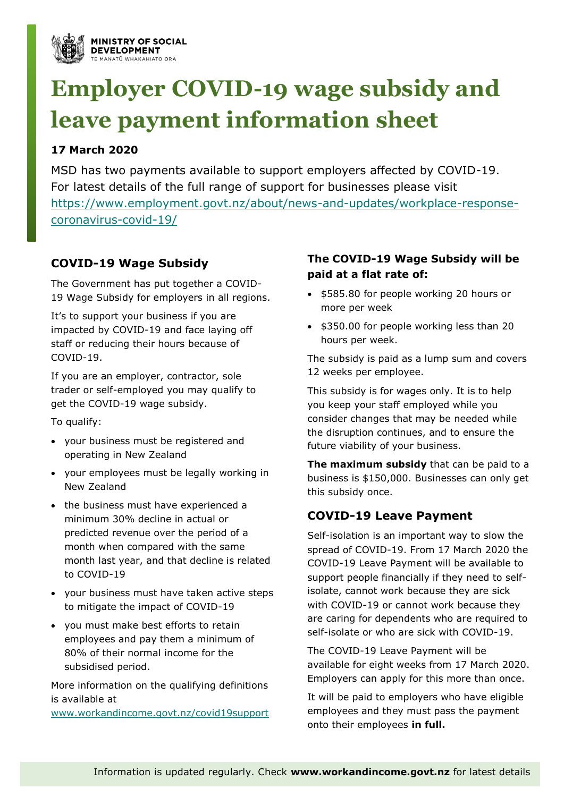

# **Employer COVID-19 wage subsidy and leave payment information sheet**

# **17 March 2020**

MSD has two payments available to support employers affected by COVID-19. For latest details of the full range of support for businesses please visit [https://www.employment.govt.nz/about/news-and-updates/workplace-response](https://www.employment.govt.nz/about/news-and-updates/workplace-response-coronavirus-covid-19/)[coronavirus-covid-19/](https://www.employment.govt.nz/about/news-and-updates/workplace-response-coronavirus-covid-19/)

# **COVID-19 Wage Subsidy**

The Government has put together a COVID-19 Wage Subsidy for employers in all regions.

It's to support your business if you are impacted by COVID-19 and face laying off staff or reducing their hours because of COVID-19.

If you are an employer, contractor, sole trader or self-employed you may qualify to get the COVID-19 wage subsidy.

To qualify:

- your business must be registered and operating in New Zealand
- your employees must be legally working in New Zealand
- the business must have experienced a minimum 30% decline in actual or predicted revenue over the period of a month when compared with the same month last year, and that decline is related to COVID-19
- your business must have taken active steps to mitigate the impact of COVID-19
- you must make best efforts to retain employees and pay them a minimum of 80% of their normal income for the subsidised period.

More information on the qualifying definitions is available at [www.workandincome.govt.nz/covid19support](http://www.workandincome.govt.nz/covid19support)

## **The COVID-19 Wage Subsidy will be paid at a flat rate of:**

- \$585.80 for people working 20 hours or more per week
- \$350.00 for people working less than 20 hours per week.

The subsidy is paid as a lump sum and covers 12 weeks per employee.

This subsidy is for wages only. It is to help you keep your staff employed while you consider changes that may be needed while the disruption continues, and to ensure the future viability of your business.

**The maximum subsidy** that can be paid to a business is \$150,000. Businesses can only get this subsidy once.

## **COVID-19 Leave Payment**

Self-isolation is an important way to slow the spread of COVID-19. From 17 March 2020 the COVID-19 Leave Payment will be available to support people financially if they need to selfisolate, cannot work because they are sick with COVID-19 or cannot work because they are caring for dependents who are required to self-isolate or who are sick with COVID-19.

The COVID-19 Leave Payment will be available for eight weeks from 17 March 2020. Employers can apply for this more than once.

It will be paid to employers who have eligible employees and they must pass the payment onto their employees **in full.**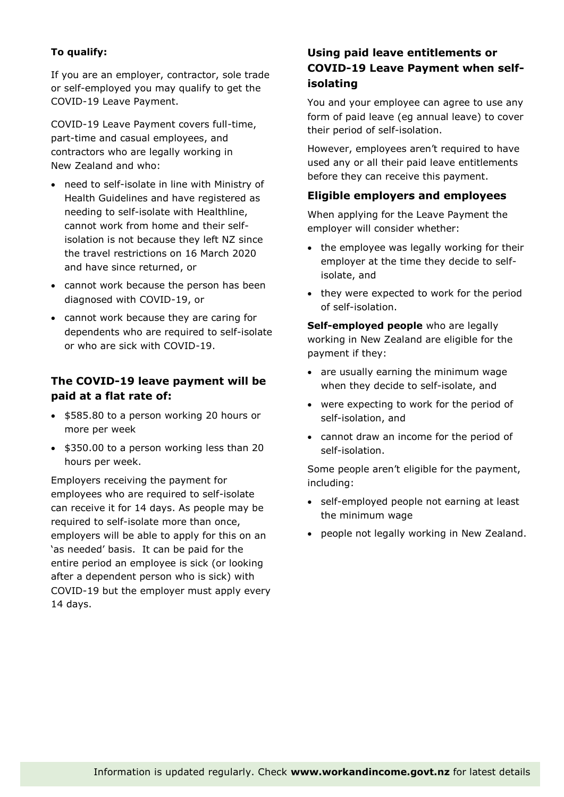## **To qualify:**

If you are an employer, contractor, sole trade or self-employed you may qualify to get the COVID-19 Leave Payment.

COVID-19 Leave Payment covers full-time, part-time and casual employees, and contractors who are legally working in New Zealand and who:

- need to self-isolate in line with Ministry of Health Guidelines and have registered as needing to self-isolate with Healthline, cannot work from home and their selfisolation is not because they left NZ since the travel restrictions on 16 March 2020 and have since returned, or
- cannot work because the person has been diagnosed with COVID-19, or
- cannot work because they are caring for dependents who are required to self-isolate or who are sick with COVID-19.

## **The COVID-19 leave payment will be paid at a flat rate of:**

- \$585.80 to a person working 20 hours or more per week
- \$350.00 to a person working less than 20 hours per week.

Employers receiving the payment for employees who are required to self-isolate can receive it for 14 days. As people may be required to self-isolate more than once, employers will be able to apply for this on an 'as needed' basis. It can be paid for the entire period an employee is sick (or looking after a dependent person who is sick) with COVID-19 but the employer must apply every 14 days.

## **Using paid leave entitlements or COVID-19 Leave Payment when selfisolating**

You and your employee can agree to use any form of paid leave (eg annual leave) to cover their period of self-isolation.

However, employees aren't required to have used any or all their paid leave entitlements before they can receive this payment.

### **Eligible employers and employees**

When applying for the Leave Payment the employer will consider whether:

- the employee was legally working for their employer at the time they decide to selfisolate, and
- they were expected to work for the period of self-isolation.

**Self-employed people** who are legally working in New Zealand are eligible for the payment if they:

- are usually earning the minimum wage when they decide to self-isolate, and
- were expecting to work for the period of self-isolation, and
- cannot draw an income for the period of self-isolation.

Some people aren't eligible for the payment, including:

- self-employed people not earning at least the minimum wage
- people not legally working in New Zealand.